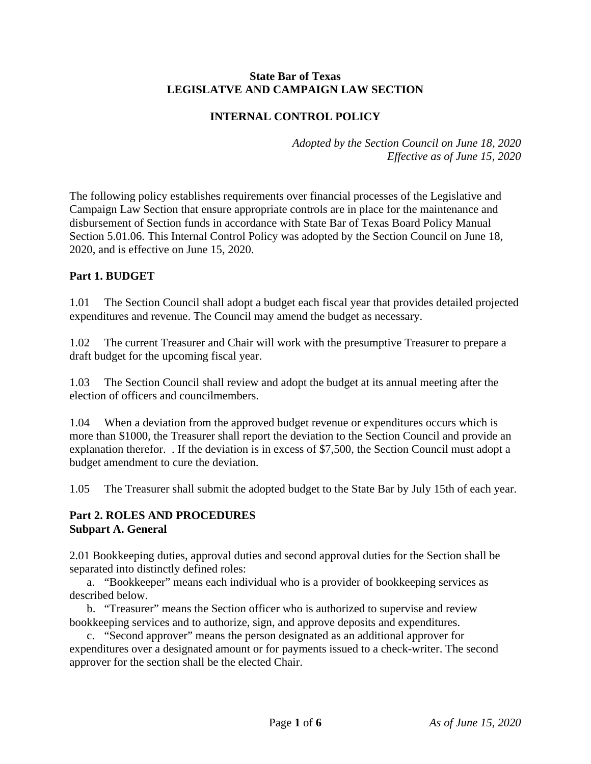#### **State Bar of Texas LEGISLATVE AND CAMPAIGN LAW SECTION**

## **INTERNAL CONTROL POLICY**

*Adopted by the Section Council on June 18, 2020 Effective as of June 15, 2020* 

The following policy establishes requirements over financial processes of the Legislative and Campaign Law Section that ensure appropriate controls are in place for the maintenance and disbursement of Section funds in accordance with State Bar of Texas Board Policy Manual Section 5.01.06. This Internal Control Policy was adopted by the Section Council on June 18, 2020, and is effective on June 15, 2020.

## **Part 1. BUDGET**

1.01 The Section Council shall adopt a budget each fiscal year that provides detailed projected expenditures and revenue. The Council may amend the budget as necessary.

1.02 The current Treasurer and Chair will work with the presumptive Treasurer to prepare a draft budget for the upcoming fiscal year.

1.03 The Section Council shall review and adopt the budget at its annual meeting after the election of officers and councilmembers.

1.04 When a deviation from the approved budget revenue or expenditures occurs which is more than \$1000, the Treasurer shall report the deviation to the Section Council and provide an explanation therefor. . If the deviation is in excess of \$7,500, the Section Council must adopt a budget amendment to cure the deviation.

1.05 The Treasurer shall submit the adopted budget to the State Bar by July 15th of each year.

#### **Part 2. ROLES AND PROCEDURES Subpart A. General**

2.01 Bookkeeping duties, approval duties and second approval duties for the Section shall be separated into distinctly defined roles:

 a. "Bookkeeper" means each individual who is a provider of bookkeeping services as described below.

 b. "Treasurer" means the Section officer who is authorized to supervise and review bookkeeping services and to authorize, sign, and approve deposits and expenditures.

 c. "Second approver" means the person designated as an additional approver for expenditures over a designated amount or for payments issued to a check-writer. The second approver for the section shall be the elected Chair.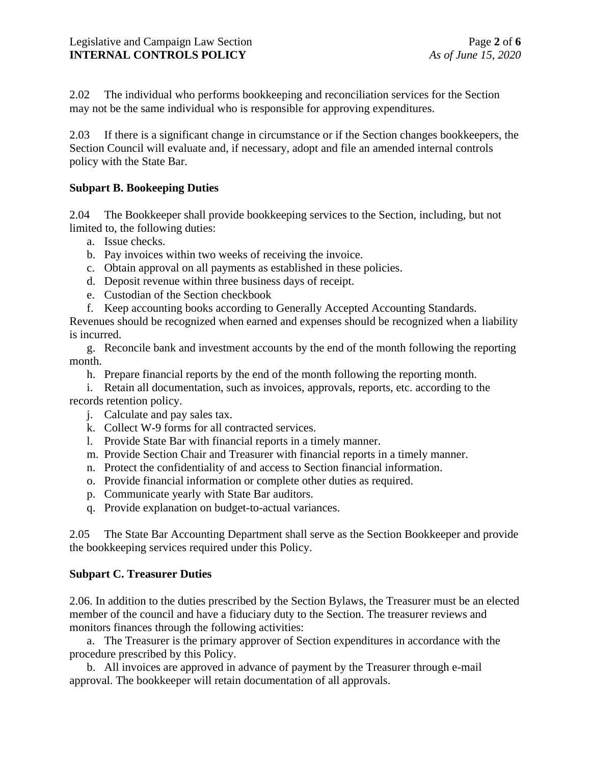2.02 The individual who performs bookkeeping and reconciliation services for the Section may not be the same individual who is responsible for approving expenditures.

2.03 If there is a significant change in circumstance or if the Section changes bookkeepers, the Section Council will evaluate and, if necessary, adopt and file an amended internal controls policy with the State Bar.

#### **Subpart B. Bookeeping Duties**

2.04 The Bookkeeper shall provide bookkeeping services to the Section, including, but not limited to, the following duties:

- a. Issue checks.
- b. Pay invoices within two weeks of receiving the invoice.
- c. Obtain approval on all payments as established in these policies.
- d. Deposit revenue within three business days of receipt.
- e. Custodian of the Section checkbook
- f. Keep accounting books according to Generally Accepted Accounting Standards.

Revenues should be recognized when earned and expenses should be recognized when a liability is incurred.

 g. Reconcile bank and investment accounts by the end of the month following the reporting month.

h. Prepare financial reports by the end of the month following the reporting month.

 i. Retain all documentation, such as invoices, approvals, reports, etc. according to the records retention policy.

- j. Calculate and pay sales tax.
- k. Collect W-9 forms for all contracted services.
- l. Provide State Bar with financial reports in a timely manner.
- m. Provide Section Chair and Treasurer with financial reports in a timely manner.
- n. Protect the confidentiality of and access to Section financial information.
- o. Provide financial information or complete other duties as required.
- p. Communicate yearly with State Bar auditors.
- q. Provide explanation on budget-to-actual variances.

2.05 The State Bar Accounting Department shall serve as the Section Bookkeeper and provide the bookkeeping services required under this Policy.

#### **Subpart C. Treasurer Duties**

2.06. In addition to the duties prescribed by the Section Bylaws, the Treasurer must be an elected member of the council and have a fiduciary duty to the Section. The treasurer reviews and monitors finances through the following activities:

 a. The Treasurer is the primary approver of Section expenditures in accordance with the procedure prescribed by this Policy.

 b. All invoices are approved in advance of payment by the Treasurer through e-mail approval. The bookkeeper will retain documentation of all approvals.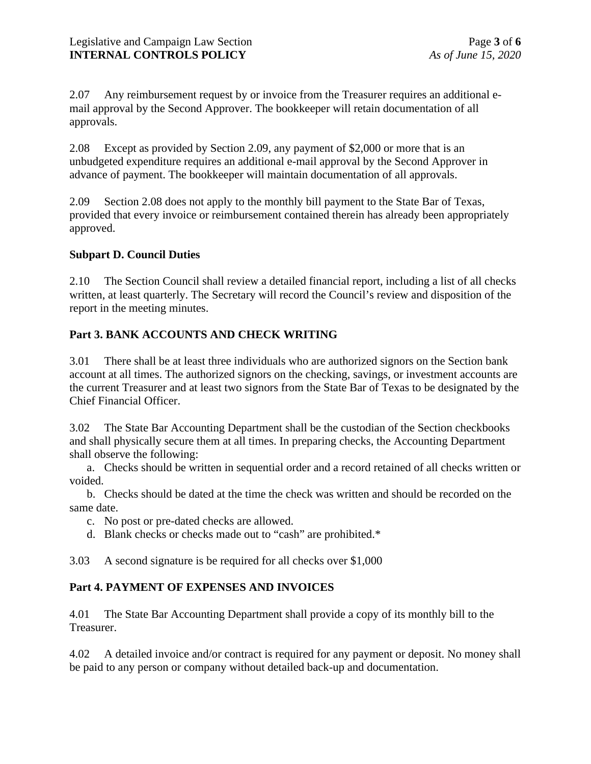2.07 Any reimbursement request by or invoice from the Treasurer requires an additional email approval by the Second Approver. The bookkeeper will retain documentation of all approvals.

2.08 Except as provided by Section 2.09, any payment of \$2,000 or more that is an unbudgeted expenditure requires an additional e-mail approval by the Second Approver in advance of payment. The bookkeeper will maintain documentation of all approvals.

2.09 Section 2.08 does not apply to the monthly bill payment to the State Bar of Texas, provided that every invoice or reimbursement contained therein has already been appropriately approved.

## **Subpart D. Council Duties**

2.10 The Section Council shall review a detailed financial report, including a list of all checks written, at least quarterly. The Secretary will record the Council's review and disposition of the report in the meeting minutes.

## **Part 3. BANK ACCOUNTS AND CHECK WRITING**

3.01 There shall be at least three individuals who are authorized signors on the Section bank account at all times. The authorized signors on the checking, savings, or investment accounts are the current Treasurer and at least two signors from the State Bar of Texas to be designated by the Chief Financial Officer.

3.02 The State Bar Accounting Department shall be the custodian of the Section checkbooks and shall physically secure them at all times. In preparing checks, the Accounting Department shall observe the following:

 a. Checks should be written in sequential order and a record retained of all checks written or voided.

 b. Checks should be dated at the time the check was written and should be recorded on the same date.

- c. No post or pre-dated checks are allowed.
- d. Blank checks or checks made out to "cash" are prohibited.\*

3.03 A second signature is be required for all checks over \$1,000

## **Part 4. PAYMENT OF EXPENSES AND INVOICES**

4.01 The State Bar Accounting Department shall provide a copy of its monthly bill to the Treasurer.

4.02 A detailed invoice and/or contract is required for any payment or deposit. No money shall be paid to any person or company without detailed back-up and documentation.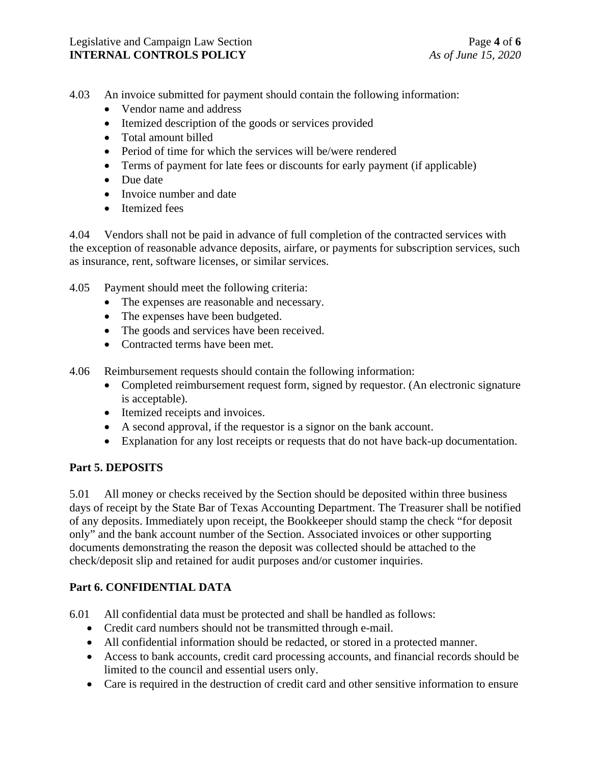- 4.03 An invoice submitted for payment should contain the following information:
	- Vendor name and address
	- Itemized description of the goods or services provided
	- Total amount billed
	- Period of time for which the services will be/were rendered
	- Terms of payment for late fees or discounts for early payment (if applicable)
	- Due date
	- Invoice number and date
	- Itemized fees

4.04 Vendors shall not be paid in advance of full completion of the contracted services with the exception of reasonable advance deposits, airfare, or payments for subscription services, such as insurance, rent, software licenses, or similar services.

- 4.05 Payment should meet the following criteria:
	- The expenses are reasonable and necessary.
	- The expenses have been budgeted.
	- The goods and services have been received.
	- Contracted terms have been met.
- 4.06 Reimbursement requests should contain the following information:
	- Completed reimbursement request form, signed by requestor. (An electronic signature is acceptable).
	- Itemized receipts and invoices.
	- A second approval, if the requestor is a signor on the bank account.
	- Explanation for any lost receipts or requests that do not have back-up documentation.

# **Part 5. DEPOSITS**

5.01 All money or checks received by the Section should be deposited within three business days of receipt by the State Bar of Texas Accounting Department. The Treasurer shall be notified of any deposits. Immediately upon receipt, the Bookkeeper should stamp the check "for deposit only" and the bank account number of the Section. Associated invoices or other supporting documents demonstrating the reason the deposit was collected should be attached to the check/deposit slip and retained for audit purposes and/or customer inquiries.

# **Part 6. CONFIDENTIAL DATA**

6.01 All confidential data must be protected and shall be handled as follows:

- Credit card numbers should not be transmitted through e-mail.
- All confidential information should be redacted, or stored in a protected manner.
- Access to bank accounts, credit card processing accounts, and financial records should be limited to the council and essential users only.
- Care is required in the destruction of credit card and other sensitive information to ensure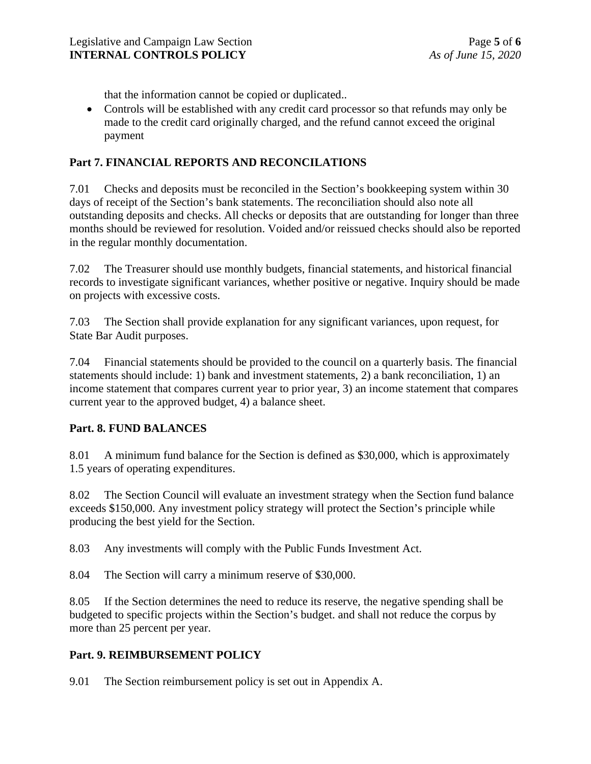that the information cannot be copied or duplicated..

• Controls will be established with any credit card processor so that refunds may only be made to the credit card originally charged, and the refund cannot exceed the original payment

## **Part 7. FINANCIAL REPORTS AND RECONCILATIONS**

7.01 Checks and deposits must be reconciled in the Section's bookkeeping system within 30 days of receipt of the Section's bank statements. The reconciliation should also note all outstanding deposits and checks. All checks or deposits that are outstanding for longer than three months should be reviewed for resolution. Voided and/or reissued checks should also be reported in the regular monthly documentation.

7.02 The Treasurer should use monthly budgets, financial statements, and historical financial records to investigate significant variances, whether positive or negative. Inquiry should be made on projects with excessive costs.

7.03 The Section shall provide explanation for any significant variances, upon request, for State Bar Audit purposes.

7.04 Financial statements should be provided to the council on a quarterly basis. The financial statements should include: 1) bank and investment statements, 2) a bank reconciliation, 1) an income statement that compares current year to prior year, 3) an income statement that compares current year to the approved budget, 4) a balance sheet.

## **Part. 8. FUND BALANCES**

8.01 A minimum fund balance for the Section is defined as \$30,000, which is approximately 1.5 years of operating expenditures.

8.02 The Section Council will evaluate an investment strategy when the Section fund balance exceeds \$150,000. Any investment policy strategy will protect the Section's principle while producing the best yield for the Section.

8.03 Any investments will comply with the Public Funds Investment Act.

8.04 The Section will carry a minimum reserve of \$30,000.

8.05 If the Section determines the need to reduce its reserve, the negative spending shall be budgeted to specific projects within the Section's budget. and shall not reduce the corpus by more than 25 percent per year.

# **Part. 9. REIMBURSEMENT POLICY**

9.01 The Section reimbursement policy is set out in Appendix A.